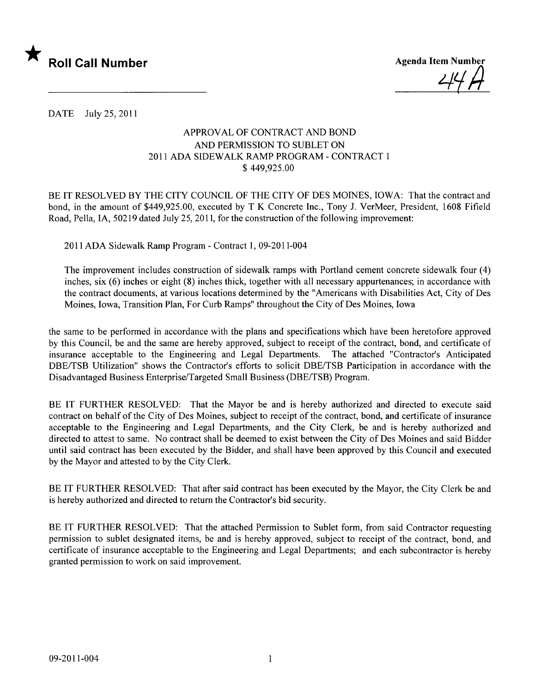

47 M

DATE July 25, 2011

## APPROVAL OF CONTRACT AND BOND AND PERMISSION TO SUBLET ON 2011 ADA SIDEWALK RAMP PROGRAM - CONTRACT 1 \$ 449,925.00

BE IT RESOLVED BY THE CITY COUNCIL OF THE CITY OF DES MOINES, IOWA: That the contract and bond, in the amount of \$449,925.00, executed by T K Concrete Inc., Tony J. VerMeer, President, 1608 Fifield Road, Pella, lA, 50219 dated July 25,2011, for the construction of the following improvement:

2011 ADA Sidewalk Ramp Program - Contract 1, 09-2011-004

The improvement includes construction of sidewalk ramps with Portland cement concrete sidewalk four (4) inches, six (6) inches or eight (8) inches thick, together with all necessary appurtenances; in accordance with the contract documents, at various locations determined by the "Americans with Disabilities Act, City of Des Moines, Iowa, Transition Plan, For Curb Ramps" throughout the City of Des Moines, Iowa

the same to be performed in accordance with the plans and specifications which have been heretofore approved by this Council, be and the same are hereby approved, subject to receipt of the contract, bond, and certificate of insurance acceptable to the Engineering and Legal Departments. The attached "Contractor's Anticipated DBE/TSB Utilization" shows the Contractor's efforts to solicit DBE/TSB Participation in accordance with the Disadvantaged Business Enterprise/Targeted Small Business (DBE/TSB) Program.

BE IT FURTHER RESOLVED: That the Mayor be and is hereby authorized and directed to execute said contract on behalf of the City of Des Moines, subject to receipt of the contract, bond, and certificate of insurance acceptable to the Engineering and Legal Departments, and the City Clerk, be and is hereby authorized and directed to attest to same. No contract shall be deemed to exist between the City of Des Moines and said Bidder until said contract has been executed by the Bidder, and shall have been approved by this Council and executed by the Mayor and attested to by the City Clerk.

BE IT FURTHER RESOLVED: That after said contract has been executed by the Mayor, the City Clerk be and is hereby authorized and directed to return the Contractor's bid security.

BE IT FURTHER RESOLVED: That the attached Permission to Sublet form, from said Contractor requesting permission to sublet designated items, be and is hereby approved, subject to receipt of the contract, bond, and certificate of insurance acceptable to the Engineering and Legal Departments; and each subcontractor is hereby granted permission to work on said improvement.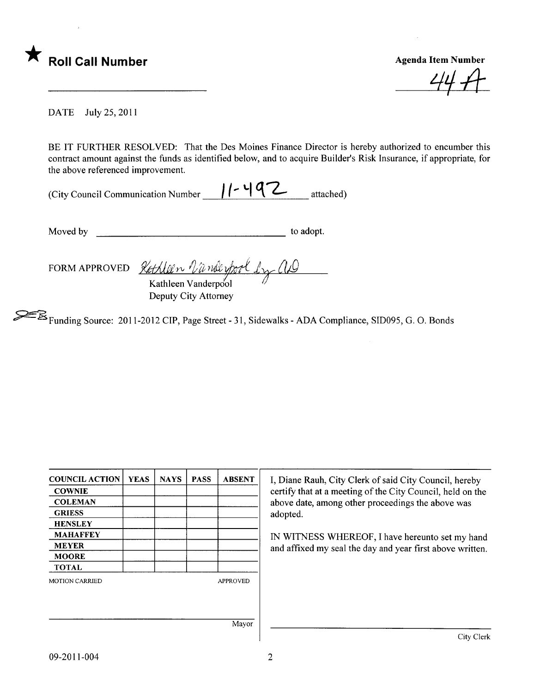

44 A

DATE July 25, 2011

BE IT FURTHER RESOLVED: That the Des Moines Finance Director is hereby authorized to encumber this contract amount against the funds as identified below, and to acquire Builder's Risk Insurance, if appropriate, for the above referenced improvement.

| (City Council Communication Number | $11 - 492$ | attached) |
|------------------------------------|------------|-----------|
|                                    |            |           |

Moved by to adopt.

FORM APPROVED Kathleen Vanderpool Deputy City Attorney

~Funding Source: 2011-2012 CIP, Page Street - 31, Sidewalks - ADA Compliance, SID095, G. O. Bonds

| <b>COUNCIL ACTION</b>                                                             | <b>YEAS</b>           | <b>NAYS</b> | <b>PASS</b> | <b>ABSENT</b> | I, Diane<br>certify tl<br>above da |
|-----------------------------------------------------------------------------------|-----------------------|-------------|-------------|---------------|------------------------------------|
| <b>COWNIE</b><br><b>COLEMAN</b>                                                   |                       |             |             |               |                                    |
|                                                                                   |                       |             |             |               |                                    |
| <b>HENSLEY</b><br><b>MAHAFFEY</b><br><b>MEYER</b><br><b>MOORE</b><br><b>TOTAL</b> |                       |             |             |               |                                    |
|                                                                                   |                       |             |             | IN WIT        |                                    |
|                                                                                   |                       |             |             |               | and affi:                          |
|                                                                                   |                       |             |             |               |                                    |
|                                                                                   | <b>MOTION CARRIED</b> |             |             |               | <b>APPROVED</b>                    |
|                                                                                   |                       |             |             |               |                                    |
|                                                                                   |                       |             |             |               |                                    |
|                                                                                   |                       |             |             | Mayor         |                                    |

Diane Rauh, City Clerk of said City Council, hereby rtify that at a meeting of the City Council, held on the ove date, among other proceedings the above was

WITNESS WHEREOF, I have hereunto set my hand d affixed my seal the day and year first above written.

 $\overline{\phantom{a}}$